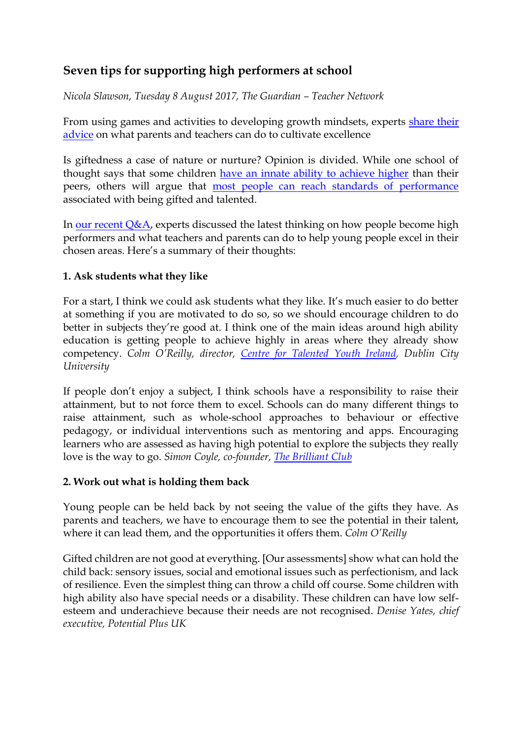# **Seven tips for supporting high performers at school**

*[Nicola Slawson,](https://www.theguardian.com/profile/nicola-slawson) Tuesday 8 August 2017, The Guardian – Teacher Network*

From using games and activities to developing growth mindsets, experts share their [advice](https://www.theguardian.com/teacher-network/2017/jul/27/how-do-we-boost-childrens-brainpower-live-chat) on what parents and teachers can do to cultivate excellence

Is giftedness a case of nature or nurture? Opinion is divided. While one school of thought says that some children [have an innate ability to achieve higher](http://www.telegraph.co.uk/films/gifted/how-do-i-know-if-my-child-is-gifted/) than their peers, others will argue that [most people can reach standards of performance](https://www.theguardian.com/education/2017/jul/25/no-such-thing-as-a-gifted-child-einstein-iq) associated with being gifted and talented.

In our recent  $Q&A$ , experts discussed the latest thinking on how people become high performers and what teachers and parents can do to help young people excel in their chosen areas. Here's a summary of their thoughts:

### **1. Ask students what they like**

For a start, I think we could ask students what they like. It's much easier to do better at something if you are motivated to do so, so we should encourage children to do better in subjects they're good at. I think one of the main ideas around high ability education is getting people to achieve highly in areas where they already show competency. *Colm O'Reilly, director, [Centre for Talented Youth Ireland,](https://www.dcu.ie/ctyi/index.shtml) Dublin City University*

If people don't enjoy a subject, I think schools have a responsibility to raise their attainment, but to not force them to excel. Schools can do many different things to raise attainment, such as whole-school approaches to behaviour or effective pedagogy, or individual interventions such as mentoring and apps. Encouraging learners who are assessed as having high potential to explore the subjects they really love is the way to go. *Simon Coyle, co-founder, [The Brilliant Club](http://www.thebrilliantclub.org/)*

#### **2. Work out what is holding them back**

Young people can be held back by not seeing the value of the gifts they have. As parents and teachers, we have to encourage them to see the potential in their talent, where it can lead them, and the opportunities it offers them. *Colm O'Reilly*

Gifted children are not good at everything. [Our assessments] show what can hold the child back: sensory issues, social and emotional issues such as perfectionism, and lack of resilience. Even the simplest thing can throw a child off course. Some children with high ability also have special needs or a disability. These children can have low selfesteem and underachieve because their needs are not recognised. *Denise Yates, chief executive, Potential Plus UK*